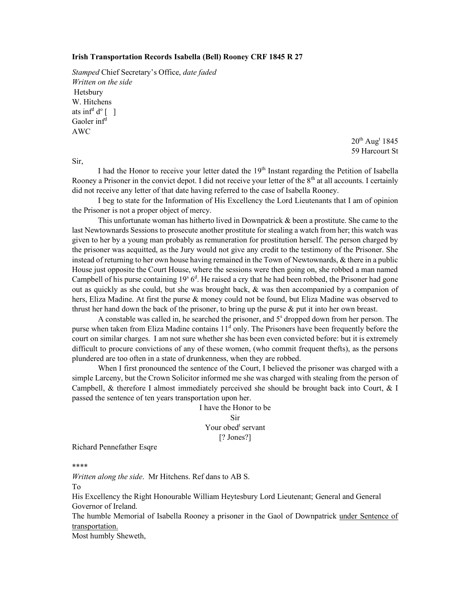## Irish Transportation Records Isabella (Bell) Rooney CRF 1845 R 27

Stamped Chief Secretary's Office, date faded Written on the side Hetsbury W. Hitchens ats inf<sup>d</sup>  $d^{\circ}$  [ ] Gaoler inf<sup>d</sup> AWC

> $20^{\text{th}}$  Aug<sup>t</sup> 1845 59 Harcourt St

I had the Honor to receive your letter dated the  $19<sup>th</sup>$  Instant regarding the Petition of Isabella Rooney a Prisoner in the convict depot. I did not receive your letter of the  $8<sup>th</sup>$  at all accounts. I certainly did not receive any letter of that date having referred to the case of Isabella Rooney.

 I beg to state for the Information of His Excellency the Lord Lieutenants that I am of opinion the Prisoner is not a proper object of mercy.

 This unfortunate woman has hitherto lived in Downpatrick & been a prostitute. She came to the last Newtownards Sessions to prosecute another prostitute for stealing a watch from her; this watch was given to her by a young man probably as remuneration for prostitution herself. The person charged by the prisoner was acquitted, as the Jury would not give any credit to the testimony of the Prisoner. She instead of returning to her own house having remained in the Town of Newtownards, & there in a public House just opposite the Court House, where the sessions were then going on, she robbed a man named Campbell of his purse containing  $19<sup>s</sup> 6<sup>d</sup>$ . He raised a cry that he had been robbed, the Prisoner had gone out as quickly as she could, but she was brought back, & was then accompanied by a companion of hers, Eliza Madine. At first the purse & money could not be found, but Eliza Madine was observed to thrust her hand down the back of the prisoner, to bring up the purse  $\&$  put it into her own breast.

A constable was called in, he searched the prisoner, and 5<sup>s</sup> dropped down from her person. The purse when taken from Eliza Madine contains 11<sup>d</sup> only. The Prisoners have been frequently before the court on similar charges. I am not sure whether she has been even convicted before: but it is extremely difficult to procure convictions of any of these women, (who commit frequent thefts), as the persons plundered are too often in a state of drunkenness, when they are robbed.

 When I first pronounced the sentence of the Court, I believed the prisoner was charged with a simple Larceny, but the Crown Solicitor informed me she was charged with stealing from the person of Campbell, & therefore I almost immediately perceived she should be brought back into Court, & I passed the sentence of ten years transportation upon her.

> I have the Honor to be Sir Your obed<sup>t</sup> servant [? Jones?]

Richard Pennefather Esqre

\*\*\*\*

Sir,

Written along the side. Mr Hitchens. Ref dans to AB S.

To

His Excellency the Right Honourable William Heytesbury Lord Lieutenant; General and General Governor of Ireland.

The humble Memorial of Isabella Rooney a prisoner in the Gaol of Downpatrick under Sentence of transportation.

Most humbly Sheweth,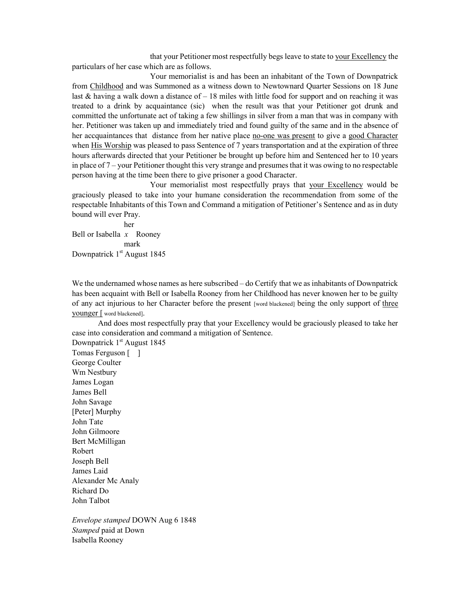that your Petitioner most respectfully begs leave to state to your Excellency the particulars of her case which are as follows.

 Your memorialist is and has been an inhabitant of the Town of Downpatrick from Childhood and was Summoned as a witness down to Newtownard Quarter Sessions on 18 June last & having a walk down a distance of – 18 miles with little food for support and on reaching it was treated to a drink by acquaintance (sic) when the result was that your Petitioner got drunk and committed the unfortunate act of taking a few shillings in silver from a man that was in company with her. Petitioner was taken up and immediately tried and found guilty of the same and in the absence of her accquaintances that distance from her native place no-one was present to give a good Character when His Worship was pleased to pass Sentence of 7 years transportation and at the expiration of three hours afterwards directed that your Petitioner be brought up before him and Sentenced her to 10 years in place of 7 – your Petitioner thought this very strange and presumes that it was owing to no respectable person having at the time been there to give prisoner a good Character.

 Your memorialist most respectfully prays that your Excellency would be graciously pleased to take into your humane consideration the recommendation from some of the respectable Inhabitants of this Town and Command a mitigation of Petitioner's Sentence and as in duty bound will ever Pray.

 her Bell or Isabella  $x$  Rooney mark Downpatrick 1<sup>st</sup> August 1845

We the undernamed whose names as here subscribed – do Certify that we as inhabitants of Downpatrick has been acquaint with Bell or Isabella Rooney from her Childhood has never knowen her to be guilty of any act injurious to her Character before the present [word blackened] being the only support of three younger [ word blackened].

 And does most respectfully pray that your Excellency would be graciously pleased to take her case into consideration and command a mitigation of Sentence.

Downpatrick  $1<sup>st</sup>$  August 1845 Tomas Ferguson [ ] George Coulter Wm Nestbury James Logan James Bell John Savage [Peter] Murphy John Tate John Gilmoore Bert McMilligan Robert Joseph Bell James Laid Alexander Mc Analy Richard Do John Talbot

Envelope stamped DOWN Aug 6 1848 Stamped paid at Down Isabella Rooney